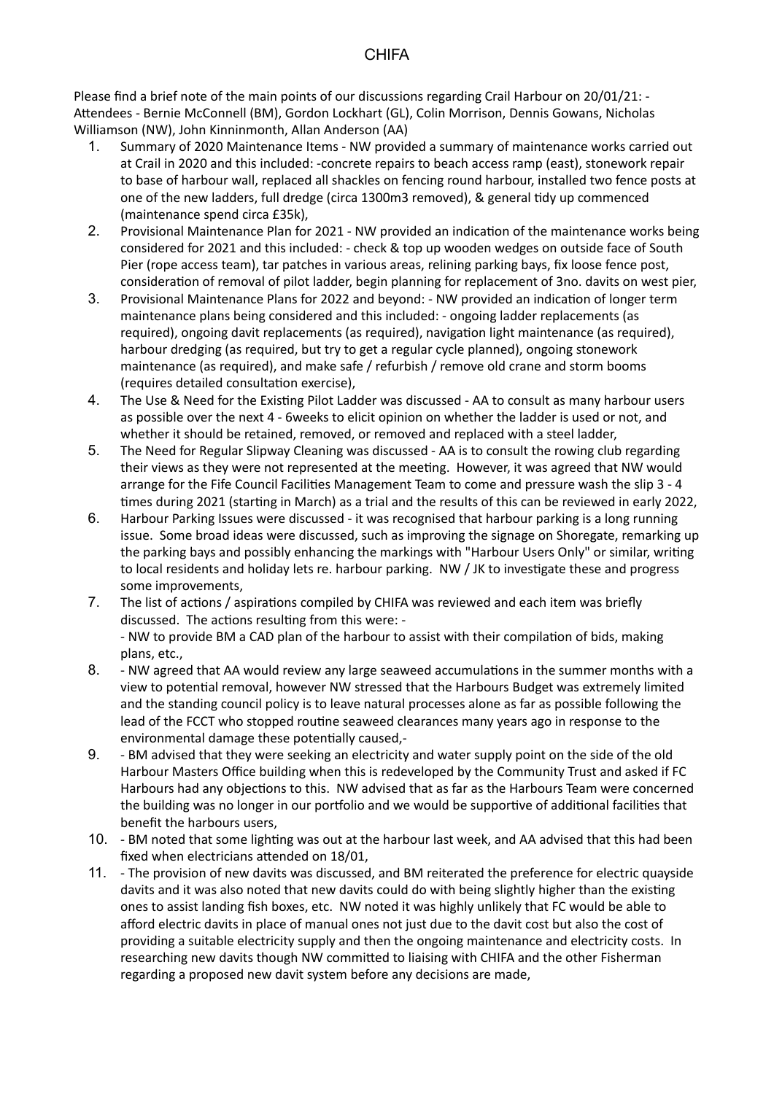Please find a brief note of the main points of our discussions regarding Crail Harbour on 20/01/21: - Attendees - Bernie McConnell (BM), Gordon Lockhart (GL), Colin Morrison, Dennis Gowans, Nicholas Williamson (NW), John Kinninmonth, Allan Anderson (AA)

- 1. Summary of 2020 Maintenance Items NW provided a summary of maintenance works carried out at Crail in 2020 and this included: -concrete repairs to beach access ramp (east), stonework repair to base of harbour wall, replaced all shackles on fencing round harbour, installed two fence posts at one of the new ladders, full dredge (circa 1300m3 removed), & general tidy up commenced (maintenance spend circa £35k),
- 2. Provisional Maintenance Plan for 2021 NW provided an indication of the maintenance works being considered for 2021 and this included: - check & top up wooden wedges on outside face of South Pier (rope access team), tar patches in various areas, relining parking bays, fix loose fence post, consideration of removal of pilot ladder, begin planning for replacement of 3no. davits on west pier,
- 3. Provisional Maintenance Plans for 2022 and beyond: NW provided an indication of longer term maintenance plans being considered and this included: - ongoing ladder replacements (as required), ongoing davit replacements (as required), navigation light maintenance (as required), harbour dredging (as required, but try to get a regular cycle planned), ongoing stonework maintenance (as required), and make safe / refurbish / remove old crane and storm booms (requires detailed consultation exercise),
- 4. The Use & Need for the Existing Pilot Ladder was discussed AA to consult as many harbour users as possible over the next 4 - 6weeks to elicit opinion on whether the ladder is used or not, and whether it should be retained, removed, or removed and replaced with a steel ladder,
- 5. The Need for Regular Slipway Cleaning was discussed AA is to consult the rowing club regarding their views as they were not represented at the meeting. However, it was agreed that NW would arrange for the Fife Council Facilities Management Team to come and pressure wash the slip 3 - 4 times during 2021 (starting in March) as a trial and the results of this can be reviewed in early 2022,
- 6. Harbour Parking Issues were discussed it was recognised that harbour parking is a long running issue. Some broad ideas were discussed, such as improving the signage on Shoregate, remarking up the parking bays and possibly enhancing the markings with "Harbour Users Only" or similar, writing to local residents and holiday lets re. harbour parking. NW / JK to investigate these and progress some improvements,
- 7. The list of actions / aspirations compiled by CHIFA was reviewed and each item was briefly discussed. The actions resulting from this were: - - NW to provide BM a CAD plan of the harbour to assist with their compilation of bids, making plans, etc.,
- 8. NW agreed that AA would review any large seaweed accumulations in the summer months with a view to potential removal, however NW stressed that the Harbours Budget was extremely limited and the standing council policy is to leave natural processes alone as far as possible following the lead of the FCCT who stopped routine seaweed clearances many years ago in response to the environmental damage these potentially caused,-
- 9. BM advised that they were seeking an electricity and water supply point on the side of the old Harbour Masters Office building when this is redeveloped by the Community Trust and asked if FC Harbours had any objections to this. NW advised that as far as the Harbours Team were concerned the building was no longer in our portfolio and we would be supportive of additional facilities that benefit the harbours users,
- 10. BM noted that some lighting was out at the harbour last week, and AA advised that this had been fixed when electricians attended on 18/01,
- 11. The provision of new davits was discussed, and BM reiterated the preference for electric quayside davits and it was also noted that new davits could do with being slightly higher than the existing ones to assist landing fish boxes, etc. NW noted it was highly unlikely that FC would be able to afford electric davits in place of manual ones not just due to the davit cost but also the cost of providing a suitable electricity supply and then the ongoing maintenance and electricity costs. In researching new davits though NW committed to liaising with CHIFA and the other Fisherman regarding a proposed new davit system before any decisions are made,